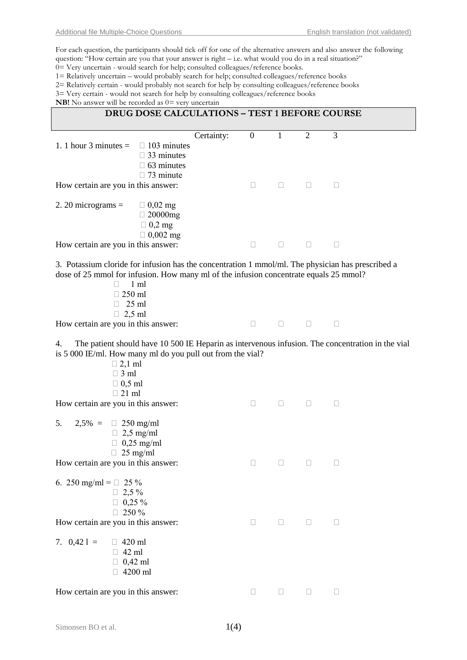For each question, the participants should tick off for one of the alternative answers and also answer the following question: "How certain are you that your answer is right – i.e. what would you do in a real situation?" 0= Very uncertain - would search for help; consulted colleagues/reference books.

1= Relatively uncertain – would probably search for help; consulted colleagues/reference books

2= Relatively certain - would probably not search for help by consulting colleagues/reference books

 $3=$  Very certain - would not search for help by consulting colleagues/reference books

answer will be recorded as  $0 = v \epsilon$ 

| <b>EVD:</b> INO allower will be recorded as $0-$ very uncertain                                                                                                                                                                                                          |            |                  |              |                |           |
|--------------------------------------------------------------------------------------------------------------------------------------------------------------------------------------------------------------------------------------------------------------------------|------------|------------------|--------------|----------------|-----------|
| DRUG DOSE CALCULATIONS - TEST 1 BEFORE COURSE                                                                                                                                                                                                                            |            |                  |              |                |           |
| 1. 1 hour 3 minutes $=$<br>$\Box$ 103 minutes<br>$\Box$ 33 minutes<br>$\Box$ 63 minutes<br>$\Box$ 73 minute                                                                                                                                                              | Certainty: | $\boldsymbol{0}$ | $\mathbf{1}$ | $\overline{2}$ | 3         |
| How certain are you in this answer:                                                                                                                                                                                                                                      |            | $\Box$           | $\Box$       | u.             | $\Box$    |
| 2. 20 micrograms $=$<br>$\Box$ 0,02 mg<br>$\Box$ 20000mg<br>$\Box$ 0,2 mg<br>$\Box$ 0,002 mg                                                                                                                                                                             |            |                  |              |                |           |
| How certain are you in this answer:                                                                                                                                                                                                                                      |            | П                | $\Box$       | $\mathbf{L}$   | Ш         |
| 3. Potassium cloride for infusion has the concentration 1 mmol/ml. The physician has prescribed a<br>dose of 25 mmol for infusion. How many ml of the infusion concentrate equals 25 mmol?<br>$1 \text{ ml}$<br>$\Box$<br>$\Box$ 250 ml<br>$\Box$ 25 ml<br>$\Box$ 2,5 ml |            |                  |              |                |           |
| How certain are you in this answer:                                                                                                                                                                                                                                      |            | $\Box$           | $\Box$       | $\Box$         | $\sim$ 11 |
| The patient should have 10 500 IE Heparin as intervenous infusion. The concentration in the vial<br>4.<br>is 5 000 IE/ml. How many ml do you pull out from the vial?<br>$\Box$ 2,1 ml<br>$\Box$ 3 ml<br>$\Box$ 0,5 ml<br>$\Box$ 21 ml                                    |            |                  |              |                |           |
| How certain are you in this answer:                                                                                                                                                                                                                                      |            | $\Box$           | $\Box$       | $\Box$         | $\Box$    |
| 5.<br>$2,5\% = \Box 250$ mg/ml<br>$\Box$ 2,5 mg/ml<br>$\Box$ 0,25 mg/ml<br>$\Box$ 25 mg/ml                                                                                                                                                                               |            |                  |              |                |           |
| How certain are you in this answer:                                                                                                                                                                                                                                      |            |                  | $\Box$       | u              |           |
| 6. 250 mg/ml = $\Box$ 25 %<br>$\Box$ 2,5%<br>$\Box$ 0,25 %<br>250 %<br>П.                                                                                                                                                                                                |            |                  |              |                |           |
| How certain are you in this answer:                                                                                                                                                                                                                                      |            | ⊔                | $\Box$       | Ш              | $\Box$    |
| 7. $0,421 =$<br>$\Box$ 420 ml<br>$\Box$ 42 ml<br>$\Box$ 0,42 ml<br>$\Box$ 4200 ml                                                                                                                                                                                        |            |                  |              |                |           |
| How certain are you in this answer:                                                                                                                                                                                                                                      |            | $\Box$           | $\Box$       | $\Box$         | $\Box$    |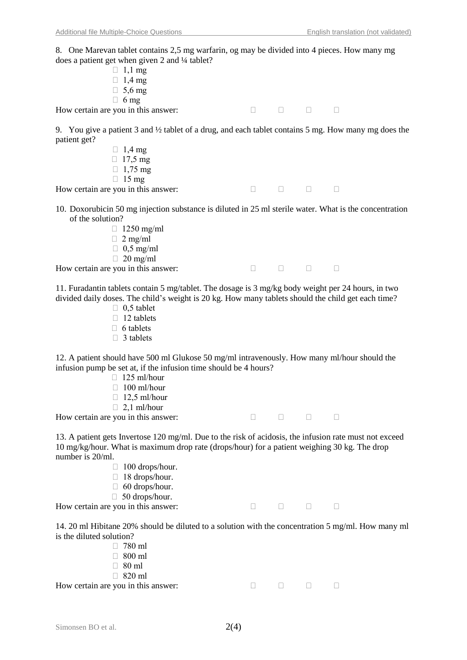8. One Marevan tablet contains 2,5 mg warfarin, og may be divided into 4 pieces. How many mg does a patient get when given 2 and  $\frac{1}{4}$  tablet?

| $\frac{1}{2}$                       |  |  |
|-------------------------------------|--|--|
| $\Box$ 1,1 mg                       |  |  |
| $\Box$ 1,4 mg                       |  |  |
| $\Box$ 5,6 mg                       |  |  |
| $\Box$ 6 mg                         |  |  |
| How certain are you in this answer: |  |  |

9. You give a patient 3 and ½ tablet of a drug, and each tablet contains 5 mg. How many mg does the patient get?

- $\Box$  1,4 mg  $\Box$  17.5 mg  $\Box$  1,75 mg  $\Box$  15 mg How certain are you in this answer:  $\Box$
- 10. Doxorubicin 50 mg injection substance is diluted in 25 ml sterile water. What is the concentration of the solution?
	- $\Box$  1250 mg/ml
	- $\Box$  2 mg/ml
	- $\Box$  0.5 mg/ml
	- $\Box$  20 mg/ml

How certain are you in this answer:  $\Box$ 

11. Furadantin tablets contain 5 mg/tablet. The dosage is 3 mg/kg body weight per 24 hours, in two divided daily doses. The child's weight is 20 kg. How many tablets should the child get each time?

- $\Box$  0.5 tablet
- $\Box$  12 tablets
- $\Box$  6 tablets
- $\Box$  3 tablets

12. A patient should have 500 ml Glukose 50 mg/ml intravenously. How many ml/hour should the infusion pump be set at, if the infusion time should be 4 hours?

- $\Box$  125 ml/hour
- $\Box$  100 ml/hour
- $\Box$  12,5 ml/hour
- $\Box$  2,1 ml/hour

How certain are you in this answer:  $\Box$ 

13. A patient gets Invertose 120 mg/ml. Due to the risk of acidosis, the infusion rate must not exceed 10 mg/kg/hour. What is maximum drop rate (drops/hour) for a patient weighing 30 kg. The drop number is 20/ml.

- $\Box$  100 drops/hour.
- $\Box$  18 drops/hour.
- $\Box$  60 drops/hour.
- $\Box$  50 drops/hour.

How certain are you in this answer:  $\Box$ 

14. 20 ml Hibitane 20% should be diluted to a solution with the concentration 5 mg/ml. How many ml is the diluted solution?

 $\Box$  780 ml 800 ml  $\Box$  80 ml  $\Box$  820 ml How certain are you in this answer:  $\Box$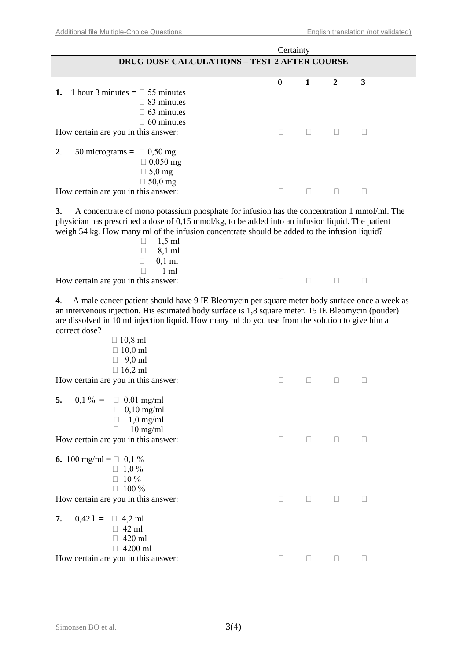|                                                                                                                                                                                                                                                                                                                                                                                                         | Certainty      |              |                  |        |
|---------------------------------------------------------------------------------------------------------------------------------------------------------------------------------------------------------------------------------------------------------------------------------------------------------------------------------------------------------------------------------------------------------|----------------|--------------|------------------|--------|
| <b>DRUG DOSE CALCULATIONS - TEST 2 AFTER COURSE</b>                                                                                                                                                                                                                                                                                                                                                     |                |              |                  |        |
| 1 hour 3 minutes = $\Box$ 55 minutes<br>1.<br>$\Box$ 83 minutes<br>$\Box$ 63 minutes<br>$\Box$ 60 minutes                                                                                                                                                                                                                                                                                               | $\overline{0}$ | $\mathbf{1}$ | $\boldsymbol{2}$ | 3      |
| How certain are you in this answer:                                                                                                                                                                                                                                                                                                                                                                     | $\Box$         | П.           | $\mathbb{R}^n$   | $\Box$ |
| 2.<br>50 micrograms = $\Box$ 0,50 mg<br>$\Box$ 0,050 mg<br>$\Box$ 5,0 mg<br>$\Box$ 50,0 mg<br>How certain are you in this answer:                                                                                                                                                                                                                                                                       |                | П.           | $\Box$           | П      |
| A concentrate of mono potassium phosphate for infusion has the concentration 1 mmol/ml. The<br>3.<br>physician has prescribed a dose of 0,15 mmol/kg, to be added into an infusion liquid. The patient<br>weigh 54 kg. How many ml of the infusion concentrate should be added to the infusion liquid?<br>$1,5$ ml<br>8,1 ml<br>П<br>$0,1$ ml<br>$\Box$<br>$1 \text{ ml}$<br>П                          |                |              |                  |        |
| How certain are you in this answer:                                                                                                                                                                                                                                                                                                                                                                     | $\Box$         | П            | $\Box$           | u      |
| A male cancer patient should have 9 IE Bleomycin per square meter body surface once a week as<br>4.<br>an intervenous injection. His estimated body surface is 1,8 square meter. 15 IE Bleomycin (pouder)<br>are dissolved in 10 ml injection liquid. How many ml do you use from the solution to give him a<br>correct dose?<br>$\Box$ 10,8 ml<br>$\Box$ 10,0 ml<br>$9,0 \text{ ml}$<br>$\Box$ 16,2 ml |                |              |                  |        |
| How certain are you in this answer:                                                                                                                                                                                                                                                                                                                                                                     | П              | $\Box$       | $\Box$           |        |
| 5.<br>$0,1\% = \Box 0,01$ mg/ml<br>$\Box$ 0,10 mg/ml<br>$1,0$ mg/ml<br>$\Box$<br>$10$ mg/ml<br>П<br>How certain are you in this answer:                                                                                                                                                                                                                                                                 | $\Box$         | $\Box$       |                  | Ш      |
| 6. 100 mg/ml = $\Box$ 0,1 %<br>$\Box$ 1,0 %<br>$\Box$ 10 %<br>$\Box$ 100 %<br>How certain are you in this answer:                                                                                                                                                                                                                                                                                       | $\Box$         | $\Box$       | $\Box$           | Ш      |
| 7.<br>$0,421 = \square$ 4,2 ml<br>$\Box$ 42 ml<br>420 ml<br>4200 ml<br>How certain are you in this answer:                                                                                                                                                                                                                                                                                              | $\Box$         | $\Box$       | $\Box$           | $\Box$ |